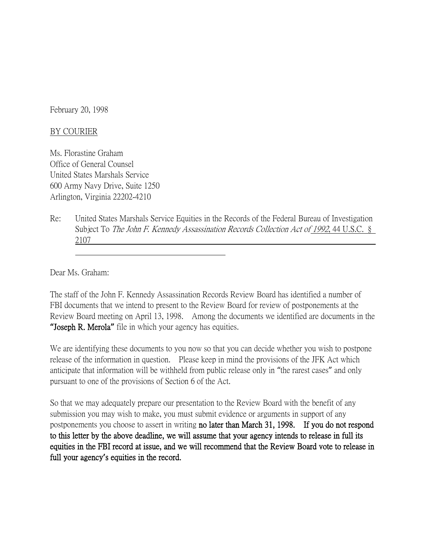February 20, 1998

## BY COURIER

Ms. Florastine Graham Office of General Counsel United States Marshals Service 600 Army Navy Drive, Suite 1250 Arlington, Virginia 22202-4210

Re: United States Marshals Service Equities in the Records of the Federal Bureau of Investigation Subject To The John F. Kennedy Assassination Records Collection Act of 1992, 44 U.S.C. § 2107

Dear Ms. Graham:

The staff of the John F. Kennedy Assassination Records Review Board has identified a number of FBI documents that we intend to present to the Review Board for review of postponements at the Review Board meeting on April 13, 1998. Among the documents we identified are documents in the **"**Joseph R. Merola**"** file in which your agency has equities.

We are identifying these documents to you now so that you can decide whether you wish to postpone release of the information in question. Please keep in mind the provisions of the JFK Act which anticipate that information will be withheld from public release only in "the rarest cases" and only pursuant to one of the provisions of Section 6 of the Act.

So that we may adequately prepare our presentation to the Review Board with the benefit of any submission you may wish to make, you must submit evidence or arguments in support of any postponements you choose to assert in writing no later than March 31, 1998. If you do not respond to this letter by the above deadline, we will assume that your agency intends to release in full its equities in the FBI record at issue, and we will recommend that the Review Board vote to release in full your agency**'**s equities in the record.